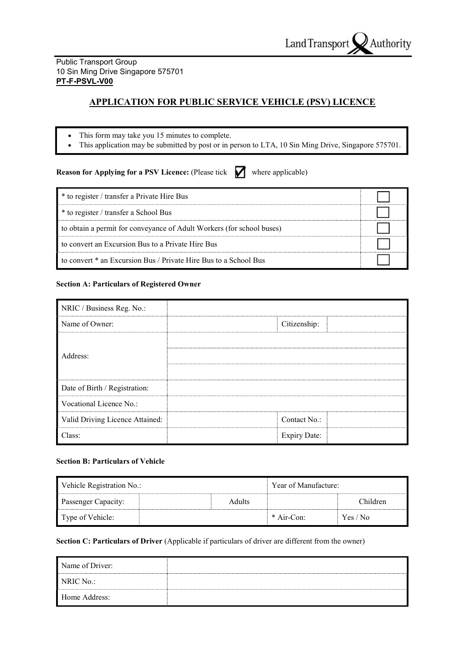### Public Transport Group 10 Sin Ming Drive Singapore 575701 PT-F-PSVL-V00

# APPLICATION FOR PUBLIC SERVICE VEHICLE (PSV) LICENCE

- This form may take you 15 minutes to complete.
- This application may be submitted by post or in person to LTA, 10 Sin Ming Drive, Singapore 575701.

**Reason for Applying for a PSV Licence:** (Please tick  $\blacksquare$  where applicable)

| * to register / transfer a Private Hire Bus                           |  |
|-----------------------------------------------------------------------|--|
| * to register / transfer a School Bus                                 |  |
| to obtain a permit for conveyance of Adult Workers (for school buses) |  |
| to convert an Excursion Bus to a Private Hire Bus                     |  |
| to convert * an Excursion Bus / Private Hire Bus to a School Bus      |  |

## Section A: Particulars of Registered Owner

| NRIC / Business Reg. No.:       |                     |  |
|---------------------------------|---------------------|--|
| Name of Owner:                  | Citizenship:        |  |
|                                 |                     |  |
| Address:                        |                     |  |
|                                 |                     |  |
| Date of Birth / Registration:   |                     |  |
| Vocational Licence No.:         |                     |  |
| Valid Driving Licence Attained: | Contact No.:        |  |
| Class:                          | <b>Expiry Date:</b> |  |

## Section B: Particulars of Vehicle

| Vehicle Registration No.: | Year of Manufacture: |              |          |
|---------------------------|----------------------|--------------|----------|
| Passenger Capacity:       | <b>Adults</b>        |              | Children |
| Type of Vehicle:          |                      | $*$ Air-Con: | Yes / No |

Section C: Particulars of Driver (Applicable if particulars of driver are different from the owner)

| Name of Driver: |  |
|-----------------|--|
| NRIC No.:       |  |
| Home Address:   |  |